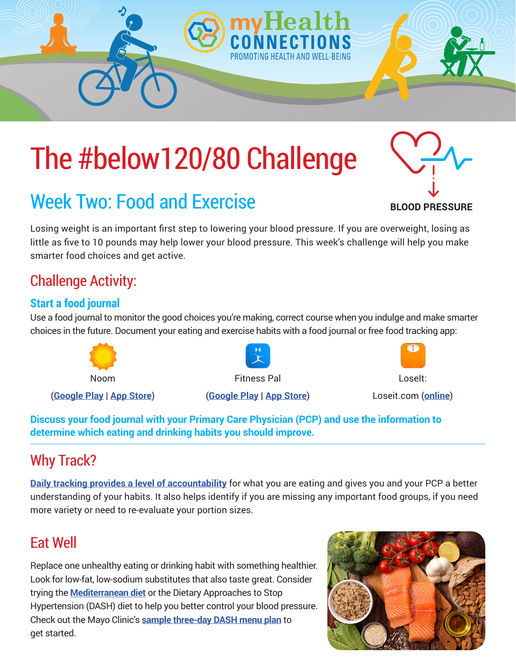# The #below120/80 Challenge

## Week Two: Food and Exercise

Losing weight is an important first step to lowering your blood pressure. If you are overweight, losing as little as five to 10 pounds may help lower your blood pressure. This week's challenge will help you make smarter food choices and get active.

### Challenge Activity:

#### **Start a food journal**

Use a food journal to monitor the good choices you're making, correct course when you indulge and make smarter choices in the future. Document your eating and exercise habits with a food journal or free food tracking app:



**Discuss your food journal with your Primary Care Physician (PCP) and use the information to determine which eating and drinking habits you should improve.** 

## Why Track?

**[Daily tracking provides a level of accountability](https://www.livestrong.com/article/294414-benefits-of-a-food-diary/)** for what you are eating and gives you and your PCP a better understanding of your habits. It also helps identify if you are missing any important food groups, if you need more variety or need to re-evaluate your portion sizes.

#### Eat Well

Replace one unhealthy eating or drinking habit with something healthier. Look for low-fat, low-sodium substitutes that also taste great. Consider trying the **[Mediterranean diet](https://www.healthline.com/nutrition/mediterranean-diet-meal-plan)** or the Dietary Approaches to Stop Hypertension (DASH) diet to help you better control your blood pressure. Check out the Mayo Clinic's **[sample three-day DASH menu plan](https://www.mayoclinic.org/healthy-lifestyle/nutrition-and-healthy-eating/in-depth/dash-diet/art-20047110)** to get started.





**BLOOD PRESSURE**